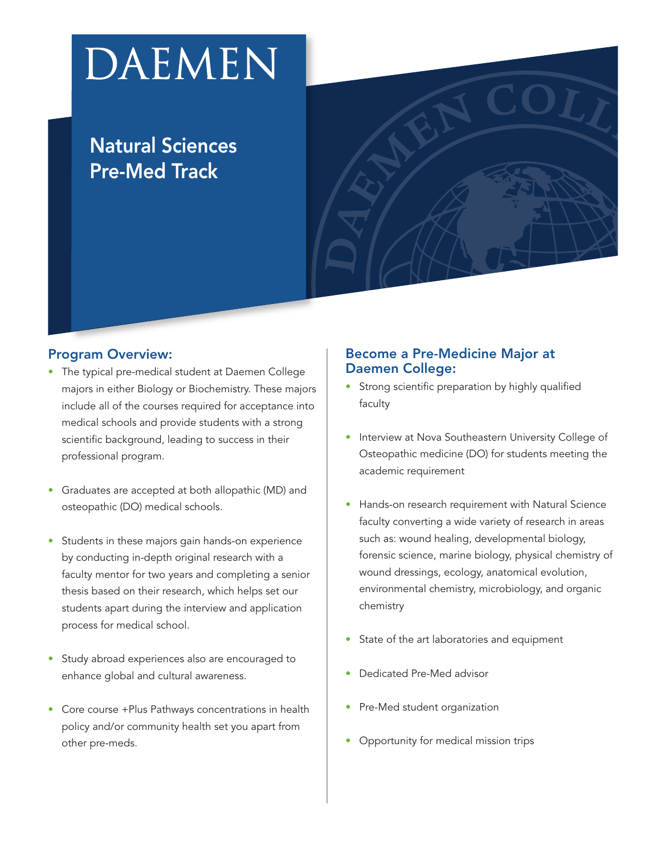# DAEMEN

### **Natural Sciences Pre-Med Track**

#### **Program Overview:**

- The typical pre-medical student at Daemen College majors in either Biology or Biochemistry. These majors include all of the courses required for acceptance into medical schools and provide students with a strong scientific background, leading to success in their professional program.
- Graduates are accepted at both allopathic (MD) and osteopathic (DO) medical schools.
- Students in these majors gain hands-on experience by conducting in-depth original research with a faculty mentor for two years and completing a senior thesis based on their research, which helps set our students apart during the interview and application process for medical school.
- Study abroad experiences also are encouraged to enhance global and cultural awareness.
- Core course +Plus Pathways concentrations in health policy and/or community health set you apart from other pre-meds.

#### **Become a Pre-Medicine Major at Daemen College:**

- Strong scientific preparation by highly qualified faculty
- Interview at Nova Southeastern University College of Osteopathic medicine (DO) for students meeting the academic requirement
- Hands-on research requirement with Natural Science faculty converting a wide variety of research in areas such as: wound healing, developmental biology, forensic science, marine biology, physical chemistry of wound dressings, ecology, anatomical evolution, environmental chemistry, microbiology, and organic chemistry
- State of the art laboratories and equipment
- Dedicated Pre-Med advisor
- Pre-Med student organization
- Opportunity for medical mission trips